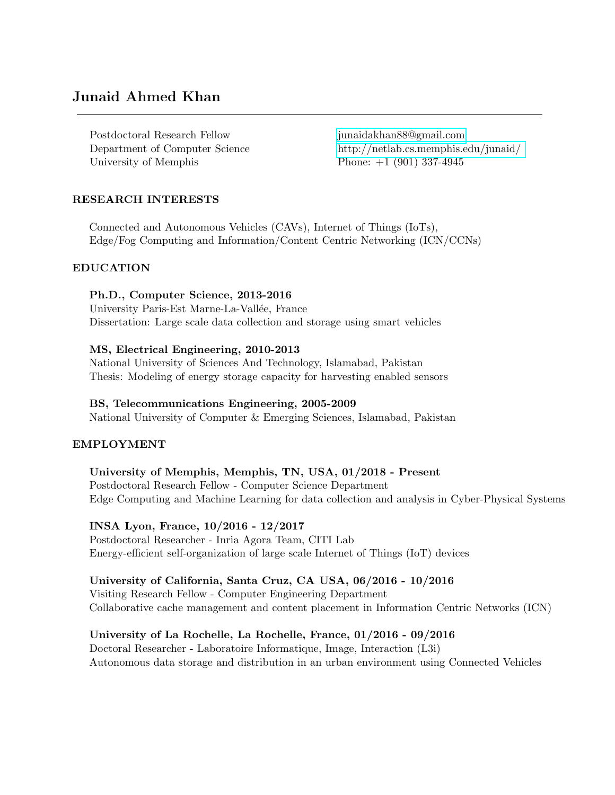# Junaid Ahmed Khan

Postdoctoral Research Fellow [junaidakhan88@gmail.com](mailto:junaidakhan88@gmail.com) University of Memphis **Phone:** +1 (901) 337-4945

Department of Computer Science [http://netlab.cs.memphis.edu/junaid/](http://netlab.cs.memphis.edu/junaid/ )

## RESEARCH INTERESTS

Connected and Autonomous Vehicles (CAVs), Internet of Things (IoTs), Edge/Fog Computing and Information/Content Centric Networking (ICN/CCNs)

## EDUCATION

Ph.D., Computer Science, 2013-2016 University Paris-Est Marne-La-Vallée, France Dissertation: Large scale data collection and storage using smart vehicles

## MS, Electrical Engineering, 2010-2013

National University of Sciences And Technology, Islamabad, Pakistan Thesis: Modeling of energy storage capacity for harvesting enabled sensors

## BS, Telecommunications Engineering, 2005-2009

National University of Computer & Emerging Sciences, Islamabad, Pakistan

## EMPLOYMENT

### University of Memphis, Memphis, TN, USA, 01/2018 - Present

Postdoctoral Research Fellow - Computer Science Department Edge Computing and Machine Learning for data collection and analysis in Cyber-Physical Systems

### INSA Lyon, France, 10/2016 - 12/2017

Postdoctoral Researcher - Inria Agora Team, CITI Lab Energy-efficient self-organization of large scale Internet of Things (IoT) devices

## University of California, Santa Cruz, CA USA, 06/2016 - 10/2016

Visiting Research Fellow - Computer Engineering Department Collaborative cache management and content placement in Information Centric Networks (ICN)

### University of La Rochelle, La Rochelle, France, 01/2016 - 09/2016

Doctoral Researcher - Laboratoire Informatique, Image, Interaction (L3i) Autonomous data storage and distribution in an urban environment using Connected Vehicles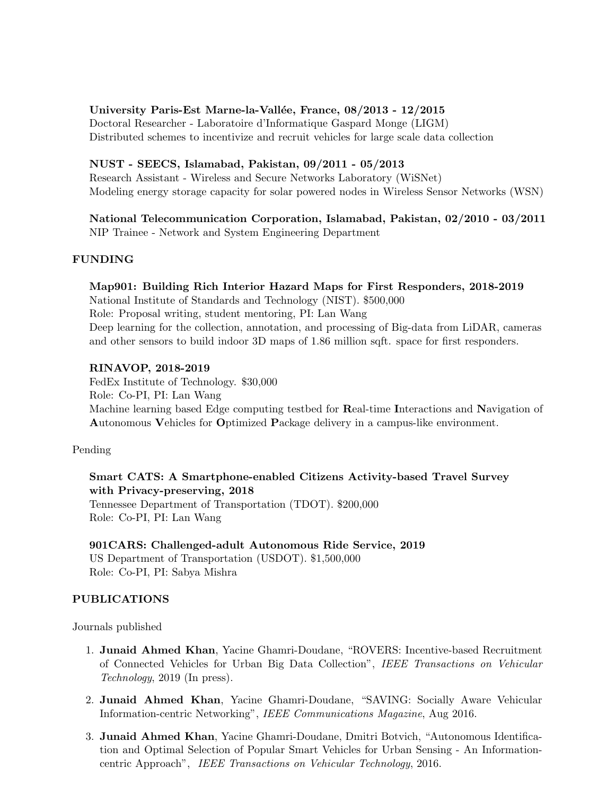## University Paris-Est Marne-la-Vallée, France, 08/2013 - 12/2015

Doctoral Researcher - Laboratoire d'Informatique Gaspard Monge (LIGM) Distributed schemes to incentivize and recruit vehicles for large scale data collection

## NUST - SEECS, Islamabad, Pakistan, 09/2011 - 05/2013

Research Assistant - Wireless and Secure Networks Laboratory (WiSNet) Modeling energy storage capacity for solar powered nodes in Wireless Sensor Networks (WSN)

## National Telecommunication Corporation, Islamabad, Pakistan, 02/2010 - 03/2011

NIP Trainee - Network and System Engineering Department

## FUNDING

## Map901: Building Rich Interior Hazard Maps for First Responders, 2018-2019 National Institute of Standards and Technology (NIST). \$500,000 Role: Proposal writing, student mentoring, PI: Lan Wang Deep learning for the collection, annotation, and processing of Big-data from LiDAR, cameras and other sensors to build indoor 3D maps of 1.86 million sqft. space for first responders.

## RINAVOP, 2018-2019

FedEx Institute of Technology. \$30,000 Role: Co-PI, PI: Lan Wang Machine learning based Edge computing testbed for Real-time Interactions and Navigation of Autonomous Vehicles for Optimized Package delivery in a campus-like environment.

## Pending

Smart CATS: A Smartphone-enabled Citizens Activity-based Travel Survey with Privacy-preserving, 2018 Tennessee Department of Transportation (TDOT). \$200,000 Role: Co-PI, PI: Lan Wang

## 901CARS: Challenged-adult Autonomous Ride Service, 2019 US Department of Transportation (USDOT). \$1,500,000 Role: Co-PI, PI: Sabya Mishra

## PUBLICATIONS

Journals published

- 1. Junaid Ahmed Khan, Yacine Ghamri-Doudane, "ROVERS: Incentive-based Recruitment of Connected Vehicles for Urban Big Data Collection", IEEE Transactions on Vehicular Technology, 2019 (In press).
- 2. Junaid Ahmed Khan, Yacine Ghamri-Doudane, "SAVING: Socially Aware Vehicular Information-centric Networking", IEEE Communications Magazine, Aug 2016.
- 3. Junaid Ahmed Khan, Yacine Ghamri-Doudane, Dmitri Botvich, "Autonomous Identification and Optimal Selection of Popular Smart Vehicles for Urban Sensing - An Informationcentric Approach", IEEE Transactions on Vehicular Technology, 2016.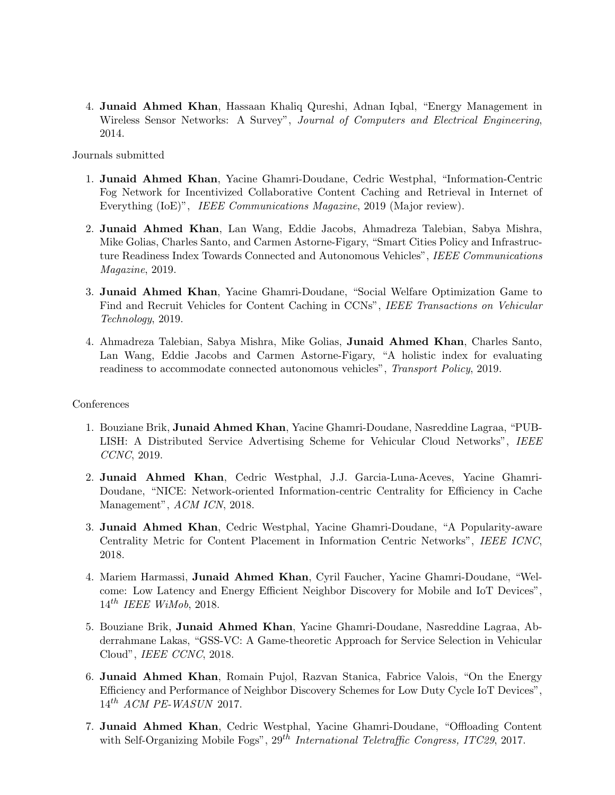4. Junaid Ahmed Khan, Hassaan Khaliq Qureshi, Adnan Iqbal, "Energy Management in Wireless Sensor Networks: A Survey", Journal of Computers and Electrical Engineering, 2014.

Journals submitted

- 1. Junaid Ahmed Khan, Yacine Ghamri-Doudane, Cedric Westphal, "Information-Centric Fog Network for Incentivized Collaborative Content Caching and Retrieval in Internet of Everything (IoE)", *IEEE Communications Magazine*, 2019 (Major review).
- 2. Junaid Ahmed Khan, Lan Wang, Eddie Jacobs, Ahmadreza Talebian, Sabya Mishra, Mike Golias, Charles Santo, and Carmen Astorne-Figary, "Smart Cities Policy and Infrastructure Readiness Index Towards Connected and Autonomous Vehicles", IEEE Communications Magazine, 2019.
- 3. Junaid Ahmed Khan, Yacine Ghamri-Doudane, "Social Welfare Optimization Game to Find and Recruit Vehicles for Content Caching in CCNs", IEEE Transactions on Vehicular Technology, 2019.
- 4. Ahmadreza Talebian, Sabya Mishra, Mike Golias, Junaid Ahmed Khan, Charles Santo, Lan Wang, Eddie Jacobs and Carmen Astorne-Figary, "A holistic index for evaluating readiness to accommodate connected autonomous vehicles", Transport Policy, 2019.

#### Conferences

- 1. Bouziane Brik, Junaid Ahmed Khan, Yacine Ghamri-Doudane, Nasreddine Lagraa, "PUB-LISH: A Distributed Service Advertising Scheme for Vehicular Cloud Networks", IEEE CCNC, 2019.
- 2. Junaid Ahmed Khan, Cedric Westphal, J.J. Garcia-Luna-Aceves, Yacine Ghamri-Doudane, "NICE: Network-oriented Information-centric Centrality for Efficiency in Cache Management", ACM ICN, 2018.
- 3. Junaid Ahmed Khan, Cedric Westphal, Yacine Ghamri-Doudane, "A Popularity-aware Centrality Metric for Content Placement in Information Centric Networks", IEEE ICNC, 2018.
- 4. Mariem Harmassi, Junaid Ahmed Khan, Cyril Faucher, Yacine Ghamri-Doudane, "Welcome: Low Latency and Energy Efficient Neighbor Discovery for Mobile and IoT Devices",  $14^{th}$  IEEE WiMob, 2018.
- 5. Bouziane Brik, Junaid Ahmed Khan, Yacine Ghamri-Doudane, Nasreddine Lagraa, Abderrahmane Lakas, "GSS-VC: A Game-theoretic Approach for Service Selection in Vehicular Cloud", IEEE CCNC, 2018.
- 6. Junaid Ahmed Khan, Romain Pujol, Razvan Stanica, Fabrice Valois, "On the Energy Efficiency and Performance of Neighbor Discovery Schemes for Low Duty Cycle IoT Devices",  $14^{th}$  ACM PE-WASUN 2017.
- 7. Junaid Ahmed Khan, Cedric Westphal, Yacine Ghamri-Doudane, "Offloading Content with Self-Organizing Mobile Fogs",  $29^{th}$  International Teletraffic Congress, ITC29, 2017.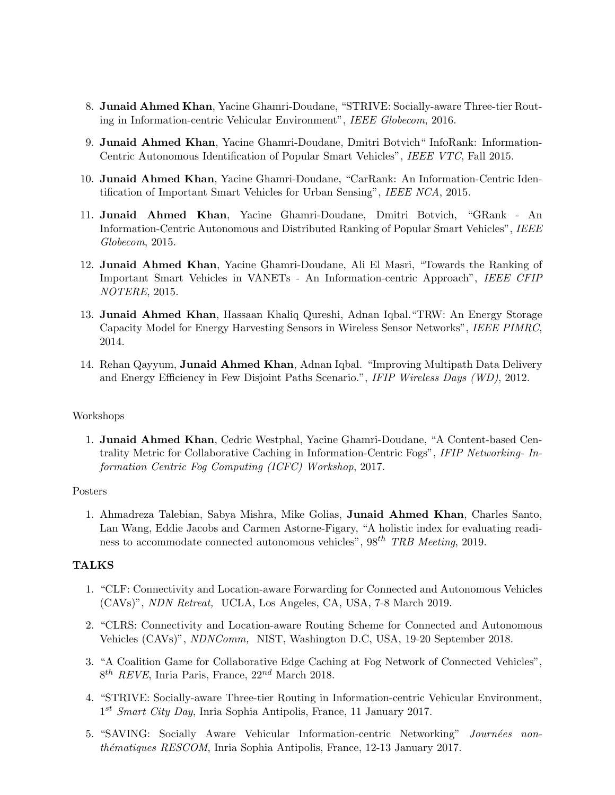- 8. Junaid Ahmed Khan, Yacine Ghamri-Doudane, "STRIVE: Socially-aware Three-tier Routing in Information-centric Vehicular Environment", IEEE Globecom, 2016.
- 9. Junaid Ahmed Khan, Yacine Ghamri-Doudane, Dmitri Botvich" InfoRank: Information-Centric Autonomous Identification of Popular Smart Vehicles", IEEE VTC, Fall 2015.
- 10. Junaid Ahmed Khan, Yacine Ghamri-Doudane, "CarRank: An Information-Centric Identification of Important Smart Vehicles for Urban Sensing", IEEE NCA, 2015.
- 11. Junaid Ahmed Khan, Yacine Ghamri-Doudane, Dmitri Botvich, "GRank An Information-Centric Autonomous and Distributed Ranking of Popular Smart Vehicles", IEEE Globecom, 2015.
- 12. Junaid Ahmed Khan, Yacine Ghamri-Doudane, Ali El Masri, "Towards the Ranking of Important Smart Vehicles in VANETs - An Information-centric Approach", IEEE CFIP NOTERE, 2015.
- 13. Junaid Ahmed Khan, Hassaan Khaliq Qureshi, Adnan Iqbal."TRW: An Energy Storage Capacity Model for Energy Harvesting Sensors in Wireless Sensor Networks", IEEE PIMRC, 2014.
- 14. Rehan Qayyum, Junaid Ahmed Khan, Adnan Iqbal. "Improving Multipath Data Delivery and Energy Efficiency in Few Disjoint Paths Scenario.", IFIP Wireless Days (WD), 2012.

### Workshops

1. Junaid Ahmed Khan, Cedric Westphal, Yacine Ghamri-Doudane, "A Content-based Centrality Metric for Collaborative Caching in Information-Centric Fogs", IFIP Networking- Information Centric Fog Computing (ICFC) Workshop, 2017.

### Posters

1. Ahmadreza Talebian, Sabya Mishra, Mike Golias, Junaid Ahmed Khan, Charles Santo, Lan Wang, Eddie Jacobs and Carmen Astorne-Figary, "A holistic index for evaluating readiness to accommodate connected autonomous vehicles",  $98^{th}$  TRB Meeting, 2019.

### TALKS

- 1. "CLF: Connectivity and Location-aware Forwarding for Connected and Autonomous Vehicles (CAVs)", NDN Retreat, UCLA, Los Angeles, CA, USA, 7-8 March 2019.
- 2. "CLRS: Connectivity and Location-aware Routing Scheme for Connected and Autonomous Vehicles (CAVs)", NDNComm, NIST, Washington D.C, USA, 19-20 September 2018.
- 3. "A Coalition Game for Collaborative Edge Caching at Fog Network of Connected Vehicles",  $8^{th}$  REVE, Inria Paris, France,  $22^{nd}$  March 2018.
- 4. "STRIVE: Socially-aware Three-tier Routing in Information-centric Vehicular Environment, 1<sup>st</sup> Smart City Day, Inria Sophia Antipolis, France, 11 January 2017.
- 5. "SAVING: Socially Aware Vehicular Information-centric Networking" Journées nonthématiques RESCOM, Inria Sophia Antipolis, France, 12-13 January 2017.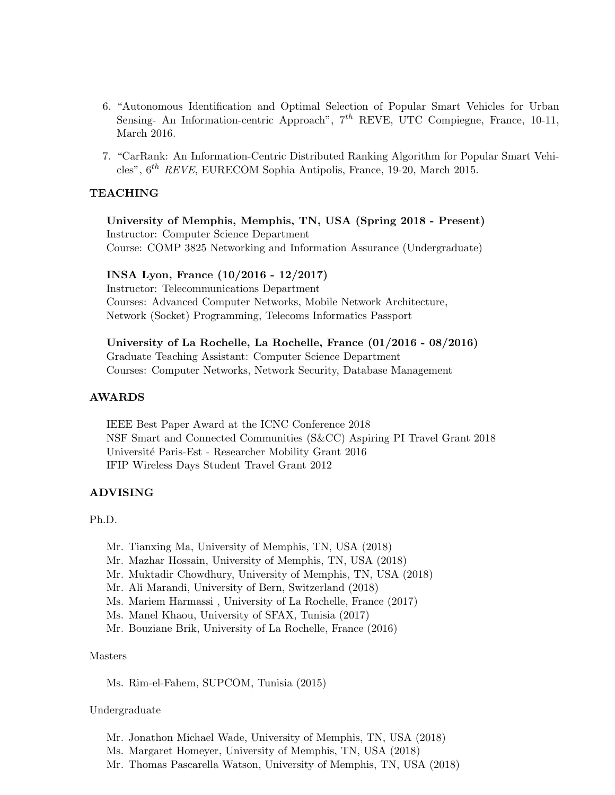- 6. "Autonomous Identification and Optimal Selection of Popular Smart Vehicles for Urban Sensing- An Information-centric Approach",  $7<sup>th</sup>$  REVE, UTC Compiegne, France, 10-11, March 2016.
- 7. "CarRank: An Information-Centric Distributed Ranking Algorithm for Popular Smart Vehicles",  $6^{th}$  REVE, EURECOM Sophia Antipolis, France, 19-20, March 2015.

## TEACHING

University of Memphis, Memphis, TN, USA (Spring 2018 - Present) Instructor: Computer Science Department Course: COMP 3825 Networking and Information Assurance (Undergraduate)

### INSA Lyon, France (10/2016 - 12/2017)

Instructor: Telecommunications Department Courses: Advanced Computer Networks, Mobile Network Architecture, Network (Socket) Programming, Telecoms Informatics Passport

#### University of La Rochelle, La Rochelle, France (01/2016 - 08/2016)

Graduate Teaching Assistant: Computer Science Department Courses: Computer Networks, Network Security, Database Management

### AWARDS

IEEE Best Paper Award at the ICNC Conference 2018 NSF Smart and Connected Communities (S&CC) Aspiring PI Travel Grant 2018 Universit´e Paris-Est - Researcher Mobility Grant 2016 IFIP Wireless Days Student Travel Grant 2012

#### ADVISING

Ph.D.

- Mr. Tianxing Ma, University of Memphis, TN, USA (2018)
- Mr. Mazhar Hossain, University of Memphis, TN, USA (2018)
- Mr. Muktadir Chowdhury, University of Memphis, TN, USA (2018)
- Mr. Ali Marandi, University of Bern, Switzerland (2018)
- Ms. Mariem Harmassi , University of La Rochelle, France (2017)
- Ms. Manel Khaou, University of SFAX, Tunisia (2017)
- Mr. Bouziane Brik, University of La Rochelle, France (2016)

#### Masters

Ms. Rim-el-Fahem, SUPCOM, Tunisia (2015)

#### Undergraduate

- Mr. Jonathon Michael Wade, University of Memphis, TN, USA (2018)
- Ms. Margaret Homeyer, University of Memphis, TN, USA (2018)
- Mr. Thomas Pascarella Watson, University of Memphis, TN, USA (2018)